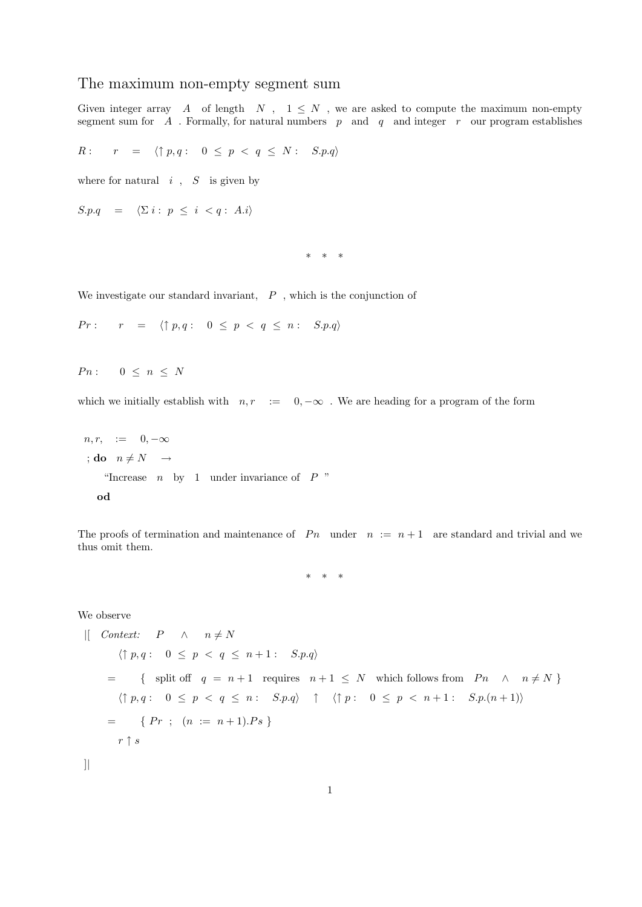## The maximum non-empty segment sum

Given integer array  $A$  of length  $N$ ,  $1 \leq N$ , we are asked to compute the maximum non-empty segment sum for  $A$ . Formally, for natural numbers  $p$  and  $q$  and integer  $r$  our program establishes

$$
R: \quad r = \langle \uparrow p, q: 0 \leq p < q \leq N: S.p.q \rangle
$$

where for natural  $i$ ,  $S$  is given by

$$
S.p.q = \langle \Sigma i : p \le i < q : A.i \rangle
$$

\* \* \*

We investigate our standard invariant,  $P$ , which is the conjunction of

$$
Pr: \quad r = \langle \uparrow p, q: \quad 0 \leq p < q \leq n: \quad S.p.q \rangle
$$

 $P n: \quad 0 \leq n \leq N$ 

which we initially establish with  $n, r := 0, -\infty$ . We are heading for a program of the form

$$
n, r, := 0, -\infty
$$
  
 
$$
;\text{do } n \neq N \rightarrow
$$
  
 "Increase *n* by 1 under invariance of *P* "  
 **od**

The proofs of termination and maintenance of  $P_n$  under  $n := n + 1$  are standard and trivial and we thus omit them.

\* \* \*

We observe

```
\begin{array}{ccc} | & \text{Context:} & P & \wedge & n \neq N \end{array}\langle \uparrow p, q : 0 \leq p \leq q \leq n+1 : S.p.q \rangle= { split off q = n + 1 requires n + 1 \leq N which follows from P_n \wedge n \neq N}
         \langle \uparrow p, q : 0 \leq p < q \leq n : S.p.q \rangle \quad \uparrow \quad \langle \uparrow p : 0 \leq p < n+1 : S.p.(n+1) \rangle= \{ Pr ; (n := n+1).Ps \}r \uparrow s
```
]|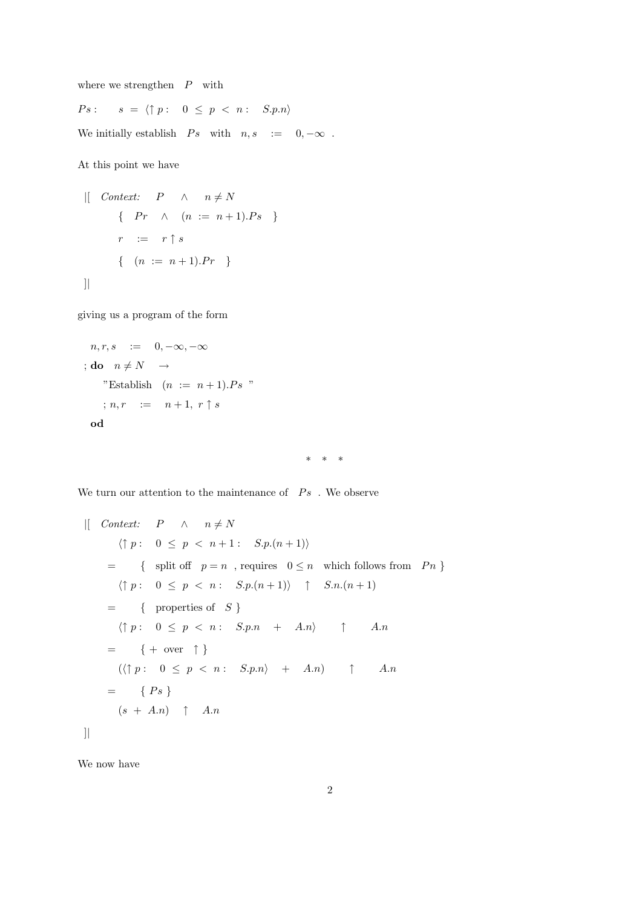where we strengthen  $P$  with

 $\label{eq:ps} \begin{array}{rcl} Ps: & \quad s \ = \ \langle \uparrow p: & \ 0 \ \leq \ p \ < \ n: & \ S.p.n \rangle \end{array}$ 

We initially establish  $\;\; Ps \;\; \text{ with } \;\; n, s \;\; := \;\; \; 0, -\infty \;\;.$ 

At this point we have

$$
\begin{array}{rcl}\n\text{[} & \text{Context:} & P & \wedge & n \neq N \\
\text{ } & \{ \begin{array}{rcl} Pr & \wedge & (n := n + 1).Ps \\ \text{ } & r := & r \uparrow s \end{array} \} \\
\text{ } & \{ \begin{array}{rcl} (n := n + 1).Pr & \} \end{array} \n\end{array}
$$

giving us a program of the form

$$
n, r, s := 0, -\infty, -\infty
$$
  
\n
$$
;\mathbf{do} \quad n \neq N \rightarrow
$$
  
\n" Establish  $(n := n + 1).Ps$ "  
\n
$$
;\, n, r := n + 1, \, r \uparrow s
$$
  
\n
$$
\mathbf{od}
$$

\* \* \*

We turn our attention to the maintenance of  $\;\;Ps\;$  . We observe

$$
\begin{array}{ll}\n\text{[} & \textit{Context:} & P & \land & n \neq N \\
& \langle \uparrow p : 0 \leq p < n+1 : S.p.(n+1) \rangle \\
&= \{ \text{ split off } p = n \text{ , requires } 0 \leq n \text{ which follows from } Pn \} \\
\langle \uparrow p : 0 \leq p < n : S.p.(n+1) \rangle \uparrow S.n.(n+1) \\
&= \{ \text{ properties of } S \} \\
\langle \uparrow p : 0 \leq p < n : S.p.n + A.n \rangle \uparrow A.n \\
&= \{ + \text{ over } \uparrow \} \\
\langle \uparrow p : 0 \leq p < n : S.p.n \rangle + A.n \rangle \uparrow A.n \\
&= \{ Ps \} \\
\langle s + A.n \rangle \uparrow A.n \\
\end{array}
$$

We now have